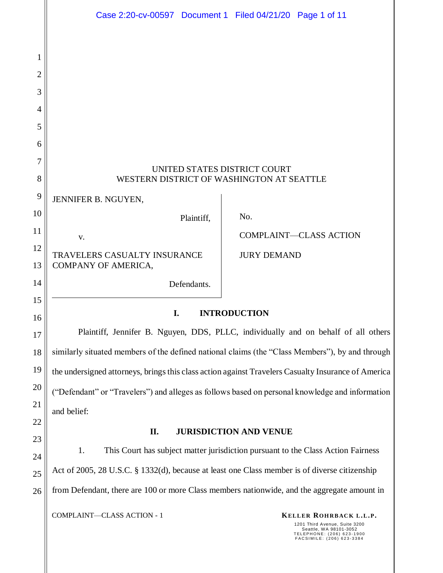|                | Case 2:20-cv-00597 Document 1 Filed 04/21/20 Page 1 of 11                                           |                               |                               |
|----------------|-----------------------------------------------------------------------------------------------------|-------------------------------|-------------------------------|
|                |                                                                                                     |                               |                               |
| 1              |                                                                                                     |                               |                               |
| $\overline{2}$ |                                                                                                     |                               |                               |
| 3              |                                                                                                     |                               |                               |
| $\overline{4}$ |                                                                                                     |                               |                               |
| 5              |                                                                                                     |                               |                               |
| 6              |                                                                                                     |                               |                               |
| 7              | UNITED STATES DISTRICT COURT                                                                        |                               |                               |
| 8              | WESTERN DISTRICT OF WASHINGTON AT SEATTLE                                                           |                               |                               |
| 9              | JENNIFER B. NGUYEN,                                                                                 |                               |                               |
| 10             | Plaintiff,                                                                                          | No.                           |                               |
| 11             | V.                                                                                                  |                               | <b>COMPLAINT-CLASS ACTION</b> |
| 12             | TRAVELERS CASUALTY INSURANCE                                                                        | <b>JURY DEMAND</b>            |                               |
| 13             | COMPANY OF AMERICA,                                                                                 |                               |                               |
| 14             | Defendants.                                                                                         |                               |                               |
| 15<br>16       | I.                                                                                                  | <b>INTRODUCTION</b>           |                               |
| 17             | Plaintiff, Jennifer B. Nguyen, DDS, PLLC, individually and on behalf of all others                  |                               |                               |
| 18             | similarly situated members of the defined national claims (the "Class Members"), by and through     |                               |                               |
| 19             | the undersigned attorneys, brings this class action against Travelers Casualty Insurance of America |                               |                               |
| 20             |                                                                                                     |                               |                               |
| 21             | ("Defendant" or "Travelers") and alleges as follows based on personal knowledge and information     |                               |                               |
| 22             | and belief:                                                                                         |                               |                               |
| 23             | П.                                                                                                  | <b>JURISDICTION AND VENUE</b> |                               |
| 24             | 1.<br>This Court has subject matter jurisdiction pursuant to the Class Action Fairness              |                               |                               |
| 25             | Act of 2005, 28 U.S.C. § 1332(d), because at least one Class member is of diverse citizenship       |                               |                               |
| 26             | from Defendant, there are 100 or more Class members nationwide, and the aggregate amount in         |                               |                               |

**COMPLAINT—CLASS ACTION - 1 KELLER ROHRBACK L.L.P.** 

1201 Third Avenue, Suite 3200<br>Seattle, WA 98101-3052<br>TELEPHONE: (206) 623-1900<br>FACSIMILE: (206) 623-3384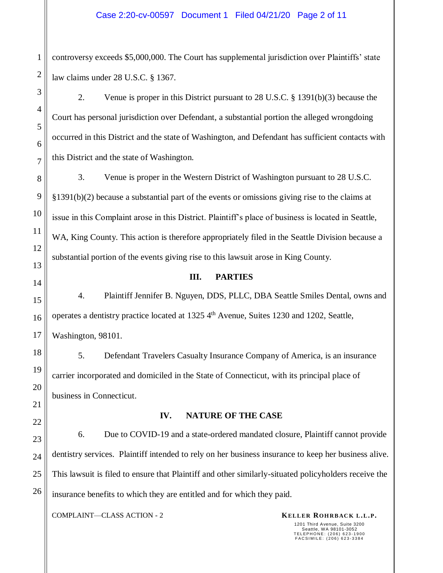controversy exceeds \$5,000,000. The Court has supplemental jurisdiction over Plaintiffs' state law claims under 28 U.S.C. § 1367.

2. Venue is proper in this District pursuant to 28 U.S.C. § 1391(b)(3) because the Court has personal jurisdiction over Defendant, a substantial portion the alleged wrongdoing occurred in this District and the state of Washington, and Defendant has sufficient contacts with this District and the state of Washington.

3. Venue is proper in the Western District of Washington pursuant to 28 U.S.C. §1391(b)(2) because a substantial part of the events or omissions giving rise to the claims at issue in this Complaint arose in this District. Plaintiff's place of business is located in Seattle, WA, King County. This action is therefore appropriately filed in the Seattle Division because a substantial portion of the events giving rise to this lawsuit arose in King County.

## **III. PARTIES**

4. Plaintiff Jennifer B. Nguyen, DDS, PLLC, DBA Seattle Smiles Dental, owns and operates a dentistry practice located at  $1325\,4^{\text{th}}$  Avenue, Suites 1230 and 1202, Seattle, Washington, 98101.

5. Defendant Travelers Casualty Insurance Company of America, is an insurance carrier incorporated and domiciled in the State of Connecticut, with its principal place of business in Connecticut.

## **IV. NATURE OF THE CASE**

6. Due to COVID-19 and a state-ordered mandated closure, Plaintiff cannot provide dentistry services. Plaintiff intended to rely on her business insurance to keep her business alive. This lawsuit is filed to ensure that Plaintiff and other similarly-situated policyholders receive the insurance benefits to which they are entitled and for which they paid.

**COMPLAINT—CLASS ACTION - 2 KELLER ROHRBACK L.L.P.**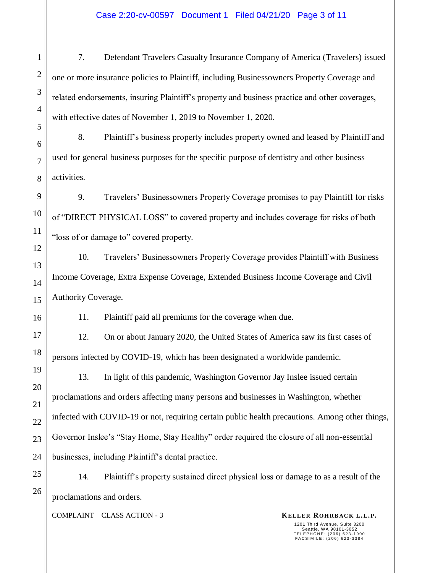## Case 2:20-cv-00597 Document 1 Filed 04/21/20 Page 3 of 11

7. Defendant Travelers Casualty Insurance Company of America (Travelers) issued one or more insurance policies to Plaintiff, including Businessowners Property Coverage and related endorsements, insuring Plaintiff's property and business practice and other coverages, with effective dates of November 1, 2019 to November 1, 2020.

8. Plaintiff's business property includes property owned and leased by Plaintiff and used for general business purposes for the specific purpose of dentistry and other business activities.

9. Travelers' Businessowners Property Coverage promises to pay Plaintiff for risks of "DIRECT PHYSICAL LOSS" to covered property and includes coverage for risks of both "loss of or damage to" covered property.

10. Travelers' Businessowners Property Coverage provides Plaintiff with Business Income Coverage, Extra Expense Coverage, Extended Business Income Coverage and Civil Authority Coverage.

11. Plaintiff paid all premiums for the coverage when due.

12. On or about January 2020, the United States of America saw its first cases of persons infected by COVID-19, which has been designated a worldwide pandemic.

13. In light of this pandemic, Washington Governor Jay Inslee issued certain proclamations and orders affecting many persons and businesses in Washington, whether infected with COVID-19 or not, requiring certain public health precautions. Among other things, Governor Inslee's "Stay Home, Stay Healthy" order required the closure of all non-essential businesses, including Plaintiff's dental practice.

14. Plaintiff's property sustained direct physical loss or damage to as a result of the proclamations and orders.

**COMPLAINT—CLASS ACTION - 3 KELLER ROHRBACK L.L.P.**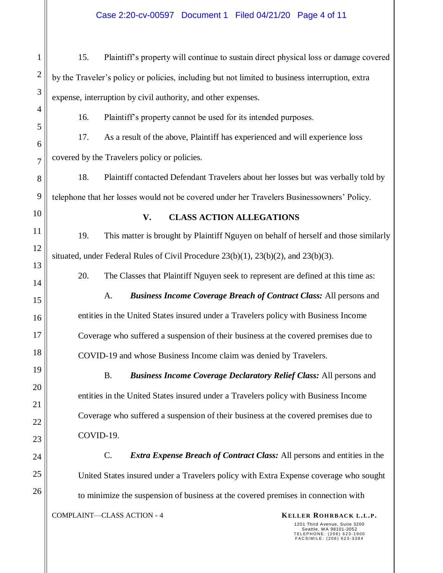## Case 2:20-cv-00597 Document 1 Filed 04/21/20 Page 4 of 11

15. Plaintiff's property will continue to sustain direct physical loss or damage covered by the Traveler's policy or policies, including but not limited to business interruption, extra expense, interruption by civil authority, and other expenses.

16. Plaintiff's property cannot be used for its intended purposes.

17. As a result of the above, Plaintiff has experienced and will experience loss covered by the Travelers policy or policies.

18. Plaintiff contacted Defendant Travelers about her losses but was verbally told by telephone that her losses would not be covered under her Travelers Businessowners' Policy.

1

2

3

4

5

6

7

8

9

10

11

12

13

14

15

16

17

18

19

20

21

22

23

24

25

26

## **V. CLASS ACTION ALLEGATIONS**

19. This matter is brought by Plaintiff Nguyen on behalf of herself and those similarly situated, under Federal Rules of Civil Procedure 23(b)(1), 23(b)(2), and 23(b)(3).

20. The Classes that Plaintiff Nguyen seek to represent are defined at this time as:

A. *Business Income Coverage Breach of Contract Class:* All persons and entities in the United States insured under a Travelers policy with Business Income Coverage who suffered a suspension of their business at the covered premises due to COVID-19 and whose Business Income claim was denied by Travelers.

B. *Business Income Coverage Declaratory Relief Class:* All persons and entities in the United States insured under a Travelers policy with Business Income Coverage who suffered a suspension of their business at the covered premises due to COVID-19.

C. *Extra Expense Breach of Contract Class:* All persons and entities in the United States insured under a Travelers policy with Extra Expense coverage who sought to minimize the suspension of business at the covered premises in connection with

**COMPLAINT—CLASS ACTION - 4 KELLER ROHRBACK L.L.P.**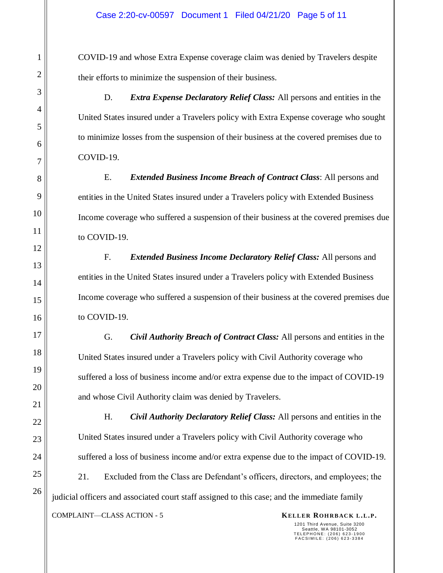COVID-19 and whose Extra Expense coverage claim was denied by Travelers despite their efforts to minimize the suspension of their business.

D. *Extra Expense Declaratory Relief Class:* All persons and entities in the United States insured under a Travelers policy with Extra Expense coverage who sought to minimize losses from the suspension of their business at the covered premises due to COVID-19.

E. *Extended Business Income Breach of Contract Class*: All persons and entities in the United States insured under a Travelers policy with Extended Business Income coverage who suffered a suspension of their business at the covered premises due to COVID-19.

F. *Extended Business Income Declaratory Relief Class:* All persons and entities in the United States insured under a Travelers policy with Extended Business Income coverage who suffered a suspension of their business at the covered premises due to COVID-19.

G. *Civil Authority Breach of Contract Class:* All persons and entities in the United States insured under a Travelers policy with Civil Authority coverage who suffered a loss of business income and/or extra expense due to the impact of COVID-19 and whose Civil Authority claim was denied by Travelers.

H. *Civil Authority Declaratory Relief Class:* All persons and entities in the United States insured under a Travelers policy with Civil Authority coverage who suffered a loss of business income and/or extra expense due to the impact of COVID-19. 21. Excluded from the Class are Defendant's officers, directors, and employees; the judicial officers and associated court staff assigned to this case; and the immediate family

**KELLER ROHRBACK L.L.P. KELLER ROHRBACK L.L.P.**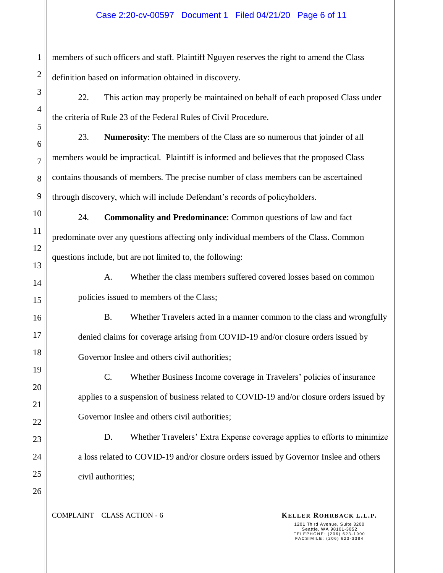## Case 2:20-cv-00597 Document 1 Filed 04/21/20 Page 6 of 11

members of such officers and staff. Plaintiff Nguyen reserves the right to amend the Class definition based on information obtained in discovery.

22. This action may properly be maintained on behalf of each proposed Class under the criteria of Rule 23 of the Federal Rules of Civil Procedure.

23. **Numerosity**: The members of the Class are so numerous that joinder of all members would be impractical. Plaintiff is informed and believes that the proposed Class contains thousands of members. The precise number of class members can be ascertained through discovery, which will include Defendant's records of policyholders.

24. **Commonality and Predominance**: Common questions of law and fact predominate over any questions affecting only individual members of the Class. Common questions include, but are not limited to, the following:

A. Whether the class members suffered covered losses based on common policies issued to members of the Class;

B. Whether Travelers acted in a manner common to the class and wrongfully denied claims for coverage arising from COVID-19 and/or closure orders issued by Governor Inslee and others civil authorities;

C. Whether Business Income coverage in Travelers' policies of insurance applies to a suspension of business related to COVID-19 and/or closure orders issued by Governor Inslee and others civil authorities;

D. Whether Travelers' Extra Expense coverage applies to efforts to minimize a loss related to COVID-19 and/or closure orders issued by Governor Inslee and others civil authorities;

**COMPLAINT—CLASS ACTION - 6 KELLER ROHRBACK L.L.P.**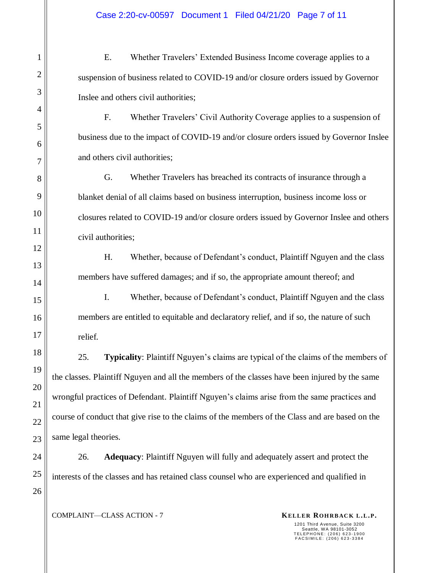E. Whether Travelers' Extended Business Income coverage applies to a suspension of business related to COVID-19 and/or closure orders issued by Governor Inslee and others civil authorities;

F. Whether Travelers' Civil Authority Coverage applies to a suspension of business due to the impact of COVID-19 and/or closure orders issued by Governor Inslee and others civil authorities;

G. Whether Travelers has breached its contracts of insurance through a blanket denial of all claims based on business interruption, business income loss or closures related to COVID-19 and/or closure orders issued by Governor Inslee and others civil authorities;

H. Whether, because of Defendant's conduct, Plaintiff Nguyen and the class members have suffered damages; and if so, the appropriate amount thereof; and

I. Whether, because of Defendant's conduct, Plaintiff Nguyen and the class members are entitled to equitable and declaratory relief, and if so, the nature of such relief.

25. **Typicality**: Plaintiff Nguyen's claims are typical of the claims of the members of the classes. Plaintiff Nguyen and all the members of the classes have been injured by the same wrongful practices of Defendant. Plaintiff Nguyen's claims arise from the same practices and course of conduct that give rise to the claims of the members of the Class and are based on the same legal theories.

26. **Adequacy**: Plaintiff Nguyen will fully and adequately assert and protect the interests of the classes and has retained class counsel who are experienced and qualified in

**COMPLAINT—CLASS ACTION - 7 KELLER ROHRBACK L.L.P.**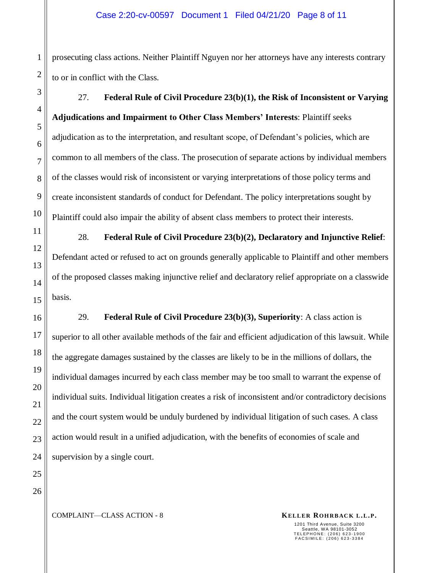prosecuting class actions. Neither Plaintiff Nguyen nor her attorneys have any interests contrary to or in conflict with the Class.

27. **Federal Rule of Civil Procedure 23(b)(1), the Risk of Inconsistent or Varying Adjudications and Impairment to Other Class Members' Interests**: Plaintiff seeks adjudication as to the interpretation, and resultant scope, of Defendant's policies, which are common to all members of the class. The prosecution of separate actions by individual members of the classes would risk of inconsistent or varying interpretations of those policy terms and create inconsistent standards of conduct for Defendant. The policy interpretations sought by Plaintiff could also impair the ability of absent class members to protect their interests.

28. **Federal Rule of Civil Procedure 23(b)(2), Declaratory and Injunctive Relief**: Defendant acted or refused to act on grounds generally applicable to Plaintiff and other members of the proposed classes making injunctive relief and declaratory relief appropriate on a classwide basis.

29. **Federal Rule of Civil Procedure 23(b)(3), Superiority**: A class action is superior to all other available methods of the fair and efficient adjudication of this lawsuit. While the aggregate damages sustained by the classes are likely to be in the millions of dollars, the individual damages incurred by each class member may be too small to warrant the expense of individual suits. Individual litigation creates a risk of inconsistent and/or contradictory decisions and the court system would be unduly burdened by individual litigation of such cases. A class action would result in a unified adjudication, with the benefits of economies of scale and supervision by a single court.

24 25 26

1

2

3

4

5

6

7

8

9

10

11

12

13

14

15

16

17

18

19

20

21

22

23

**COMPLAINT—CLASS ACTION - 8 KELLER ROHRBACK L.L.P.**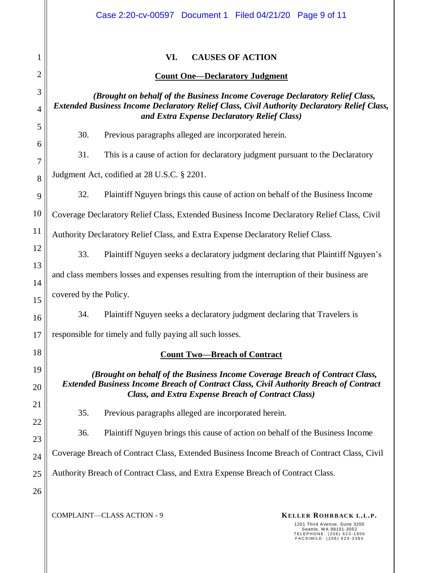|                     | Case 2:20-cv-00597 Document 1 Filed 04/21/20 Page 9 of 11                                                                                                                                                                   |  |  |  |  |  |
|---------------------|-----------------------------------------------------------------------------------------------------------------------------------------------------------------------------------------------------------------------------|--|--|--|--|--|
| 1                   | VI.<br><b>CAUSES OF ACTION</b>                                                                                                                                                                                              |  |  |  |  |  |
| $\overline{2}$      | <b>Count One-Declaratory Judgment</b>                                                                                                                                                                                       |  |  |  |  |  |
| 3<br>$\overline{4}$ | (Brought on behalf of the Business Income Coverage Declaratory Relief Class,<br>Extended Business Income Declaratory Relief Class, Civil Authority Declaratory Relief Class,<br>and Extra Expense Declaratory Relief Class) |  |  |  |  |  |
| 5                   | 30.<br>Previous paragraphs alleged are incorporated herein.                                                                                                                                                                 |  |  |  |  |  |
| 6<br>7              | 31.<br>This is a cause of action for declaratory judgment pursuant to the Declaratory                                                                                                                                       |  |  |  |  |  |
| 8                   | Judgment Act, codified at 28 U.S.C. § 2201.                                                                                                                                                                                 |  |  |  |  |  |
| 9                   | 32.<br>Plaintiff Nguyen brings this cause of action on behalf of the Business Income                                                                                                                                        |  |  |  |  |  |
| 10                  | Coverage Declaratory Relief Class, Extended Business Income Declaratory Relief Class, Civil                                                                                                                                 |  |  |  |  |  |
| 11                  | Authority Declaratory Relief Class, and Extra Expense Declaratory Relief Class.                                                                                                                                             |  |  |  |  |  |
| 12                  | 33.<br>Plaintiff Nguyen seeks a declaratory judgment declaring that Plaintiff Nguyen's                                                                                                                                      |  |  |  |  |  |
| 13<br>14            | and class members losses and expenses resulting from the interruption of their business are                                                                                                                                 |  |  |  |  |  |
| 15                  | covered by the Policy.                                                                                                                                                                                                      |  |  |  |  |  |
| 16                  | 34.<br>Plaintiff Nguyen seeks a declaratory judgment declaring that Travelers is                                                                                                                                            |  |  |  |  |  |
| 17                  | responsible for timely and fully paying all such losses.                                                                                                                                                                    |  |  |  |  |  |
| 18                  | <b>Count Two-Breach of Contract</b>                                                                                                                                                                                         |  |  |  |  |  |
| 19                  | (Brought on behalf of the Business Income Coverage Breach of Contract Class,                                                                                                                                                |  |  |  |  |  |
| 20                  | <b>Extended Business Income Breach of Contract Class, Civil Authority Breach of Contract</b><br><b>Class, and Extra Expense Breach of Contract Class)</b>                                                                   |  |  |  |  |  |
| 21                  | 35.<br>Previous paragraphs alleged are incorporated herein.                                                                                                                                                                 |  |  |  |  |  |
| 22<br>23            | 36.<br>Plaintiff Nguyen brings this cause of action on behalf of the Business Income                                                                                                                                        |  |  |  |  |  |
| 24                  | Coverage Breach of Contract Class, Extended Business Income Breach of Contract Class, Civil                                                                                                                                 |  |  |  |  |  |
| 25                  | Authority Breach of Contract Class, and Extra Expense Breach of Contract Class.                                                                                                                                             |  |  |  |  |  |
| 26                  |                                                                                                                                                                                                                             |  |  |  |  |  |
|                     | COMPLAINT-CLASS ACTION - 9<br>KELLER ROHRBACK L.L.P.                                                                                                                                                                        |  |  |  |  |  |

1201 Third Avenue, Suite 3200<br>Seattle, WA 98101-3052<br>TELEPHONE: (206) 623-1900<br>FACSIMILE: (206) 623-3384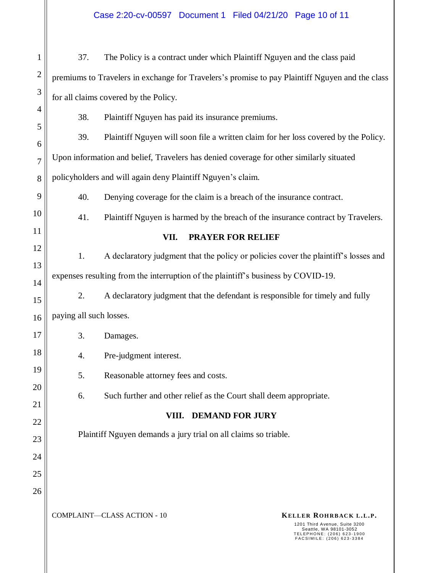**COMPLAINT—CLASS ACTION - 10 KELLER ROHRBACK L.L.P.** 1201 Third Avenue, Suite 3200 Seattle, WA 98101-3052 T E L E P H O N E : ( 2 0 6 ) 6 2 3 - 1900 F A C S I M I L E : ( 2 0 6 ) 6 2 3 - 3384 1 2 3 4 5 6 7 8 9 10 11 12 13 14 15 16 17 18 19 20 21 22 23 24 25 26 37. The Policy is a contract under which Plaintiff Nguyen and the class paid premiums to Travelers in exchange for Travelers's promise to pay Plaintiff Nguyen and the class for all claims covered by the Policy. 38. Plaintiff Nguyen has paid its insurance premiums. 39. Plaintiff Nguyen will soon file a written claim for her loss covered by the Policy. Upon information and belief, Travelers has denied coverage for other similarly situated policyholders and will again deny Plaintiff Nguyen's claim. 40. Denying coverage for the claim is a breach of the insurance contract. 41. Plaintiff Nguyen is harmed by the breach of the insurance contract by Travelers. **VII. PRAYER FOR RELIEF** 1. A declaratory judgment that the policy or policies cover the plaintiff's losses and expenses resulting from the interruption of the plaintiff's business by COVID-19. 2. A declaratory judgment that the defendant is responsible for timely and fully paying all such losses. 3. Damages. 4. Pre-judgment interest. 5. Reasonable attorney fees and costs. 6. Such further and other relief as the Court shall deem appropriate. **VIII. DEMAND FOR JURY** Plaintiff Nguyen demands a jury trial on all claims so triable. Case 2:20-cv-00597 Document 1 Filed 04/21/20 Page 10 of 11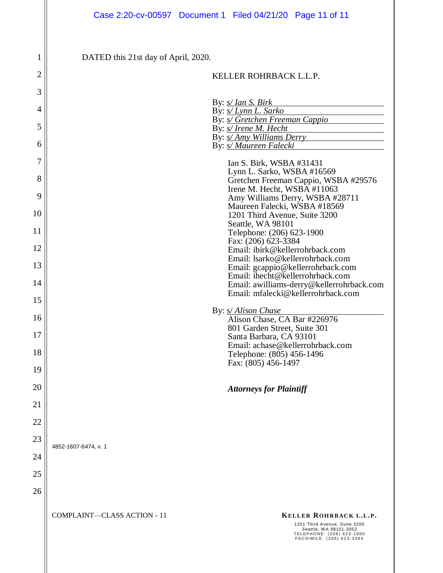**COMPLAINT—CLASS ACTION - 11 KELLER ROHRBACK L.L.P.** 1201 Third Avenue, Suite 3200 Seattle, WA 98101-3052 T E L E P H O N E : ( 2 0 6 ) 6 2 3 - 1900 F A C S I M I L E : ( 2 0 6 ) 6 2 3 - 3384 1 2 3 4 5 6 7 8 9 10 11 12 13 14 15 16 17 18 19 20 21 22 23 24 25 26 DATED this 21st day of April, 2020. **StandardSig** KELLER ROHRBACK L.L.P. By: *s/ Ian S. Birk* By: *s/ Lynn L. Sarko* By: *s/ Gretchen Freeman Cappio* By: *s/ Irene M. Hecht* By: *s/ Amy Williams Derry* By: *s/ Maureen Falecki* Ian S. Birk, WSBA #31431 Lynn L. Sarko, WSBA #16569 Gretchen Freeman Cappio, WSBA #29576 Irene M. Hecht, WSBA #11063 Amy Williams Derry, WSBA #28711 Maureen Falecki, WSBA #18569 1201 Third Avenue, Suite 3200 Seattle, WA 98101 Telephone: (206) 623-1900 Fax: (206) 623-3384 Email: ibirk@kellerrohrback.com Email: lsarko@kellerrohrback.com Email: gcappio@kellerrohrback.com Email: [ihecht@kellerrohrback.com](mailto:ihecht@kellerrohrback.com) Email: awilliams-derry@kellerrohrback.com Email: mfalecki@kellerrohrback.com By: s/ *Alison Chase* Alison Chase, CA Bar #226976 801 Garden Street, Suite 301 Santa Barbara, CA 93101 Email: achase@kellerrohrback.com Telephone: (805) 456-1496 Fax: (805) 456-1497 *Attorneys for Plaintiff* 4852-1607-6474, v. 1 Case 2:20-cv-00597 Document 1 Filed 04/21/20 Page 11 of 11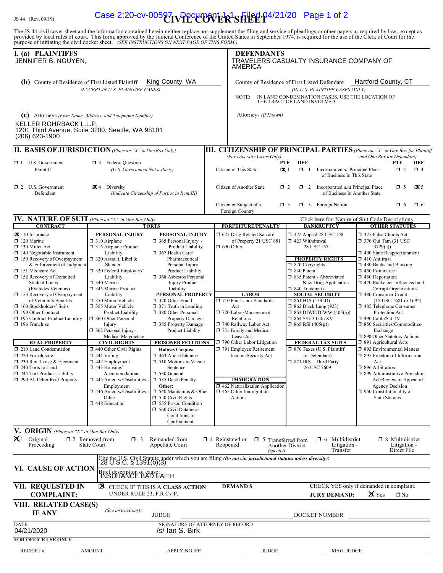# $\frac{H_{\rm Js}}{44}$  (Rev. 09/19) **Case 2:20-cv-00597 PPC 2000 FR<sup>1</sup>SHEE P4/21/20** Page 1 of 2

The JS 44 civil cover sheet and the information contained herein neither replace nor supplement the filing and service of pleadings or other papers as required by law, except as provided by local rules of court. This form,

| I. (a) PLAINTIFFS<br>JENNIFER B. NGUYEN,                                                                                                                                                                                                                                                                                                                                                                                                                                                                                                                                                                                                                           |                                                                                                                                                                                                                                                                                                                                                                                                                                                                                                                                                                                                                                                                                                                                                                                                                                                                                                                                                                                                                                                                                                                                                                                                                                                                                                                                                               |                                 | <b>DEFENDANTS</b><br>AMERICA                                                                                                                                                                                                                                                                                                                                                                                           | TRAVELERS CASUALTY INSURANCE COMPANY OF                                                                                                                                                                                                                                                                                                                                                                                                                                                                   |                                                                                                                                                                                                                                                                                                                                                                                                                                                                                                                                                                                                                                                                                                                                        |
|--------------------------------------------------------------------------------------------------------------------------------------------------------------------------------------------------------------------------------------------------------------------------------------------------------------------------------------------------------------------------------------------------------------------------------------------------------------------------------------------------------------------------------------------------------------------------------------------------------------------------------------------------------------------|---------------------------------------------------------------------------------------------------------------------------------------------------------------------------------------------------------------------------------------------------------------------------------------------------------------------------------------------------------------------------------------------------------------------------------------------------------------------------------------------------------------------------------------------------------------------------------------------------------------------------------------------------------------------------------------------------------------------------------------------------------------------------------------------------------------------------------------------------------------------------------------------------------------------------------------------------------------------------------------------------------------------------------------------------------------------------------------------------------------------------------------------------------------------------------------------------------------------------------------------------------------------------------------------------------------------------------------------------------------|---------------------------------|------------------------------------------------------------------------------------------------------------------------------------------------------------------------------------------------------------------------------------------------------------------------------------------------------------------------------------------------------------------------------------------------------------------------|-----------------------------------------------------------------------------------------------------------------------------------------------------------------------------------------------------------------------------------------------------------------------------------------------------------------------------------------------------------------------------------------------------------------------------------------------------------------------------------------------------------|----------------------------------------------------------------------------------------------------------------------------------------------------------------------------------------------------------------------------------------------------------------------------------------------------------------------------------------------------------------------------------------------------------------------------------------------------------------------------------------------------------------------------------------------------------------------------------------------------------------------------------------------------------------------------------------------------------------------------------------|
| <b>(b)</b> County of Residence of First Listed Plaintiff                                                                                                                                                                                                                                                                                                                                                                                                                                                                                                                                                                                                           | King County, WA<br>(EXCEPT IN U.S. PLAINTIFF CASES)                                                                                                                                                                                                                                                                                                                                                                                                                                                                                                                                                                                                                                                                                                                                                                                                                                                                                                                                                                                                                                                                                                                                                                                                                                                                                                           |                                 | NOTE:                                                                                                                                                                                                                                                                                                                                                                                                                  | County of Residence of First Listed Defendant<br>(IN U.S. PLAINTIFF CASES ONLY)<br>IN LAND CONDEMNATION CASES, USE THE LOCATION OF<br>THE TRACT OF LAND INVOLVED.                                                                                                                                                                                                                                                                                                                                         | Hartford County, CT                                                                                                                                                                                                                                                                                                                                                                                                                                                                                                                                                                                                                                                                                                                    |
| KELLER ROHRBACK L.L.P.<br>(206) 623-1900                                                                                                                                                                                                                                                                                                                                                                                                                                                                                                                                                                                                                           | (C) Attorneys (Firm Name, Address, and Telephone Number)<br>1201 Third Avenue, Suite 3200, Seattle, WA 98101                                                                                                                                                                                                                                                                                                                                                                                                                                                                                                                                                                                                                                                                                                                                                                                                                                                                                                                                                                                                                                                                                                                                                                                                                                                  |                                 | Attorneys (If Known)                                                                                                                                                                                                                                                                                                                                                                                                   |                                                                                                                                                                                                                                                                                                                                                                                                                                                                                                           |                                                                                                                                                                                                                                                                                                                                                                                                                                                                                                                                                                                                                                                                                                                                        |
|                                                                                                                                                                                                                                                                                                                                                                                                                                                                                                                                                                                                                                                                    | <b>II. BASIS OF JURISDICTION</b> (Place an "X" in One Box Only)                                                                                                                                                                                                                                                                                                                                                                                                                                                                                                                                                                                                                                                                                                                                                                                                                                                                                                                                                                                                                                                                                                                                                                                                                                                                                               |                                 |                                                                                                                                                                                                                                                                                                                                                                                                                        |                                                                                                                                                                                                                                                                                                                                                                                                                                                                                                           | <b>III. CITIZENSHIP OF PRINCIPAL PARTIES</b> (Place an "X" in One Box for Plaintiff                                                                                                                                                                                                                                                                                                                                                                                                                                                                                                                                                                                                                                                    |
| $\Box$ 1 U.S. Government<br>Plaintiff                                                                                                                                                                                                                                                                                                                                                                                                                                                                                                                                                                                                                              | $\Box$ 3 Federal Ouestion<br>(U.S. Government Not a Party)                                                                                                                                                                                                                                                                                                                                                                                                                                                                                                                                                                                                                                                                                                                                                                                                                                                                                                                                                                                                                                                                                                                                                                                                                                                                                                    |                                 | (For Diversity Cases Only)<br><b>PTF</b><br>Citizen of This State<br>$\mathbf{X}$ 1                                                                                                                                                                                                                                                                                                                                    | <b>DEF</b><br>$\Box$ 1<br>Incorporated or Principal Place<br>of Business In This State                                                                                                                                                                                                                                                                                                                                                                                                                    | and One Box for Defendant)<br>PTF<br>DEF<br>$\Box$ 4<br>$\Box$ 4                                                                                                                                                                                                                                                                                                                                                                                                                                                                                                                                                                                                                                                                       |
| $\Box$ 2 U.S. Government<br>Defendant                                                                                                                                                                                                                                                                                                                                                                                                                                                                                                                                                                                                                              | $\mathbf{X}$ 4 Diversity<br>(Indicate Citizenship of Parties in Item III)                                                                                                                                                                                                                                                                                                                                                                                                                                                                                                                                                                                                                                                                                                                                                                                                                                                                                                                                                                                                                                                                                                                                                                                                                                                                                     |                                 | Citizen of Another State<br>$\Box$ 2                                                                                                                                                                                                                                                                                                                                                                                   | $\Box$ 2 Incorporated <i>and</i> Principal Place<br>of Business In Another State                                                                                                                                                                                                                                                                                                                                                                                                                          | $\Box$ 5<br>$\mathbf{X}$ 5                                                                                                                                                                                                                                                                                                                                                                                                                                                                                                                                                                                                                                                                                                             |
|                                                                                                                                                                                                                                                                                                                                                                                                                                                                                                                                                                                                                                                                    |                                                                                                                                                                                                                                                                                                                                                                                                                                                                                                                                                                                                                                                                                                                                                                                                                                                                                                                                                                                                                                                                                                                                                                                                                                                                                                                                                               |                                 | Citizen or Subject of a<br>$\Box$ 3<br>Foreign Country                                                                                                                                                                                                                                                                                                                                                                 | <b>1</b> 3 Foreign Nation                                                                                                                                                                                                                                                                                                                                                                                                                                                                                 | $\Box$ 6<br>$\Box$ 6                                                                                                                                                                                                                                                                                                                                                                                                                                                                                                                                                                                                                                                                                                                   |
| <b>IV. NATURE OF SUIT</b> (Place an "X" in One Box Only)<br><b>CONTRACT</b>                                                                                                                                                                                                                                                                                                                                                                                                                                                                                                                                                                                        | <b>TORTS</b>                                                                                                                                                                                                                                                                                                                                                                                                                                                                                                                                                                                                                                                                                                                                                                                                                                                                                                                                                                                                                                                                                                                                                                                                                                                                                                                                                  |                                 | <b>FORFEITURE/PENALTY</b>                                                                                                                                                                                                                                                                                                                                                                                              | <b>BANKRUPTCY</b>                                                                                                                                                                                                                                                                                                                                                                                                                                                                                         | Click here for: Nature of Suit Code Descriptions.<br><b>OTHER STATUTES</b>                                                                                                                                                                                                                                                                                                                                                                                                                                                                                                                                                                                                                                                             |
| $\mathbf{\times}$ 110 Insurance<br>$\Box$ 120 Marine<br>$\Box$ 130 Miller Act<br>$\Box$ 140 Negotiable Instrument<br>$\Box$ 150 Recovery of Overpayment<br>& Enforcement of Judgment<br>151 Medicare Act<br>152 Recovery of Defaulted<br><b>Student Loans</b><br>(Excludes Veterans)<br>$\Box$ 153 Recovery of Overpayment<br>of Veteran's Benefits<br>$\Box$ 160 Stockholders' Suits<br>190 Other Contract<br>195 Contract Product Liability<br>196 Franchise<br><b>REAL PROPERTY</b><br>$\Box$ 210 Land Condemnation<br>$\Box$ 220 Foreclosure<br>1 230 Rent Lease & Ejectment<br>240 Torts to Land<br>245 Tort Product Liability<br>290 All Other Real Property | PERSONAL INJURY<br>PERSONAL INJURY<br>$\Box$ 310 Airplane<br>$\Box$ 365 Personal Injury -<br>□ 315 Airplane Product<br>Product Liability<br>367 Health Care/<br>Liability<br>$\Box$ 320 Assault, Libel &<br>Pharmaceutical<br>Slander<br>Personal Injury<br>□ 330 Federal Employers'<br>Product Liability<br>Liability<br>□ 368 Asbestos Personal<br>340 Marine<br><b>Injury Product</b><br>345 Marine Product<br>Liability<br>PERSONAL PROPERTY<br>Liability<br>350 Motor Vehicle<br>□ 370 Other Fraud<br>□ 355 Motor Vehicle<br>$\Box$ 371 Truth in Lending<br>380 Other Personal<br><b>Product Liability</b><br>360 Other Personal<br>Property Damage<br>Injury<br>□ 385 Property Damage<br>$\Box$ 362 Personal Injury -<br>Product Liability<br>Medical Malpractice<br><b>CIVIL RIGHTS</b><br><b>PRISONER PETITIONS</b><br>$\Box$ 440 Other Civil Rights<br><b>Habeas Corpus:</b><br>$\Box$ 441 Voting<br>$\Box$ 463 Alien Detainee<br>$\Box$ 442 Employment<br>$\Box$ 510 Motions to Vacate<br>$\Box$ 443 Housing/<br>Sentence<br>□ 530 General<br>Accommodations<br>$\Box$ 445 Amer. w/Disabilities<br>535 Death Penalty<br>Employment<br>Other:<br>$\Box$ 446 Amer. w/Disabilities<br>$\Box$ 540 Mandamus & Other<br>Other<br>$\Box$ 550 Civil Rights<br>448 Education<br>555 Prison Condition<br>560 Civil Detainee -<br>Conditions of<br>Confinement |                                 | 5 625 Drug Related Seizure<br>of Property 21 USC 881<br>$\Box$ 690 Other<br><b>LABOR</b><br>710 Fair Labor Standards<br>Act<br>720 Labor/Management<br>Relations<br>□ 740 Railway Labor Act<br>751 Family and Medical<br>Leave Act<br>790 Other Labor Litigation<br>791 Employee Retirement<br>Income Security Act<br><b>IMMIGRATION</b><br>1462 Naturalization Application<br>$\Box$ 465 Other Immigration<br>Actions | $\Box$ 422 Appeal 28 USC 158<br>1 423 Withdrawal<br>28 USC 157<br><b>PROPERTY RIGHTS</b><br>$\Box$ 820 Copyrights<br>$\Box$ 830 Patent<br>335 Patent - Abbreviated<br>New Drug Application<br>□ 840 Trademark<br><b>SOCIAL SECURITY</b><br>$\Box$ 861 HIA (1395ff)<br>$\Box$ 862 Black Lung (923)<br>$\Box$ 863 DIWC/DIWW (405(g))<br>□ 864 SSID Title XVI<br>$\Box$ 865 RSI (405(g))<br><b>FEDERAL TAX SUITS</b><br>□ 870 Taxes (U.S. Plaintiff<br>or Defendant)<br>□ 871 IRS-Third Party<br>26 USC 7609 | 375 False Claims Act<br><b>1</b> 376 Oui Tam (31 USC<br>3729(a)<br>400 State Reapportionment<br>$\Box$ 410 Antitrust<br>$\Box$ 430 Banks and Banking<br>1 450 Commerce<br>$\Box$ 460 Deportation<br>□ 470 Racketeer Influenced and<br>Corrupt Organizations<br>□ 480 Consumer Credit<br>(15 USC 1681 or 1692)<br>485 Telephone Consumer<br>Protection Act<br>□ 490 Cable/Sat TV<br>□ 850 Securities/Commodities/<br>Exchange<br>□ 890 Other Statutory Actions<br>□ 891 Agricultural Acts<br>□ 893 Environmental Matters<br>□ 895 Freedom of Information<br>Act<br>□ 896 Arbitration<br>□ 899 Administrative Procedure<br>Act/Review or Appeal of<br><b>Agency Decision</b><br>$\Box$ 950 Constitutionality of<br><b>State Statutes</b> |
| V. ORIGIN (Place an "X" in One Box Only)<br>$\mathbb{X}$ 1 Original<br>Proceeding                                                                                                                                                                                                                                                                                                                                                                                                                                                                                                                                                                                  | $\Box$ 2 Removed from<br>$\Box$ 3<br>Remanded from<br>State Court<br>Appellate Court                                                                                                                                                                                                                                                                                                                                                                                                                                                                                                                                                                                                                                                                                                                                                                                                                                                                                                                                                                                                                                                                                                                                                                                                                                                                          |                                 | $\Box$ 4 Reinstated or $\Box$ 5<br>Reopened<br>(specify)                                                                                                                                                                                                                                                                                                                                                               | Multidistrict<br>$\Box$ 6<br>Transferred from<br>Litigation -<br>Another District<br>Transfer                                                                                                                                                                                                                                                                                                                                                                                                             | $\Box$ 8 Multidistrict<br>Litigation -<br>Direct File                                                                                                                                                                                                                                                                                                                                                                                                                                                                                                                                                                                                                                                                                  |
| VI. CAUSE OF ACTION                                                                                                                                                                                                                                                                                                                                                                                                                                                                                                                                                                                                                                                | Cite the U.S. Civil Statute under which you are filing ( <i>Do not cite jurisdictional statutes unless diversity</i> ):<br>28 U.S.C. § 1391(b)(3)<br>Brief description of cause:<br>INSURANCE BAD FAITH                                                                                                                                                                                                                                                                                                                                                                                                                                                                                                                                                                                                                                                                                                                                                                                                                                                                                                                                                                                                                                                                                                                                                       |                                 |                                                                                                                                                                                                                                                                                                                                                                                                                        |                                                                                                                                                                                                                                                                                                                                                                                                                                                                                                           |                                                                                                                                                                                                                                                                                                                                                                                                                                                                                                                                                                                                                                                                                                                                        |
| <b>VII. REQUESTED IN</b><br><b>COMPLAINT:</b>                                                                                                                                                                                                                                                                                                                                                                                                                                                                                                                                                                                                                      | <b>X</b> CHECK IF THIS IS A CLASS ACTION<br>UNDER RULE 23, F.R.Cv.P.                                                                                                                                                                                                                                                                                                                                                                                                                                                                                                                                                                                                                                                                                                                                                                                                                                                                                                                                                                                                                                                                                                                                                                                                                                                                                          |                                 | <b>DEMAND \$</b>                                                                                                                                                                                                                                                                                                                                                                                                       | <b>JURY DEMAND:</b>                                                                                                                                                                                                                                                                                                                                                                                                                                                                                       | CHECK YES only if demanded in complaint:<br>X Yes<br>$\Box$ No                                                                                                                                                                                                                                                                                                                                                                                                                                                                                                                                                                                                                                                                         |
| VIII. RELATED CASE(S)<br><b>IF ANY</b>                                                                                                                                                                                                                                                                                                                                                                                                                                                                                                                                                                                                                             | (See instructions):<br><b>JUDGE</b>                                                                                                                                                                                                                                                                                                                                                                                                                                                                                                                                                                                                                                                                                                                                                                                                                                                                                                                                                                                                                                                                                                                                                                                                                                                                                                                           |                                 |                                                                                                                                                                                                                                                                                                                                                                                                                        | DOCKET NUMBER                                                                                                                                                                                                                                                                                                                                                                                                                                                                                             |                                                                                                                                                                                                                                                                                                                                                                                                                                                                                                                                                                                                                                                                                                                                        |
| <b>DATE</b><br>04/21/2020                                                                                                                                                                                                                                                                                                                                                                                                                                                                                                                                                                                                                                          | /s/ Ian S. Birk                                                                                                                                                                                                                                                                                                                                                                                                                                                                                                                                                                                                                                                                                                                                                                                                                                                                                                                                                                                                                                                                                                                                                                                                                                                                                                                                               | SIGNATURE OF ATTORNEY OF RECORD |                                                                                                                                                                                                                                                                                                                                                                                                                        |                                                                                                                                                                                                                                                                                                                                                                                                                                                                                                           |                                                                                                                                                                                                                                                                                                                                                                                                                                                                                                                                                                                                                                                                                                                                        |
| <b>FOR OFFICE USE ONLY</b><br>RECEIPT#                                                                                                                                                                                                                                                                                                                                                                                                                                                                                                                                                                                                                             | <b>APPLYING IFP</b><br><b>AMOUNT</b>                                                                                                                                                                                                                                                                                                                                                                                                                                                                                                                                                                                                                                                                                                                                                                                                                                                                                                                                                                                                                                                                                                                                                                                                                                                                                                                          |                                 | <b>JUDGE</b>                                                                                                                                                                                                                                                                                                                                                                                                           | MAG. JUDGE                                                                                                                                                                                                                                                                                                                                                                                                                                                                                                |                                                                                                                                                                                                                                                                                                                                                                                                                                                                                                                                                                                                                                                                                                                                        |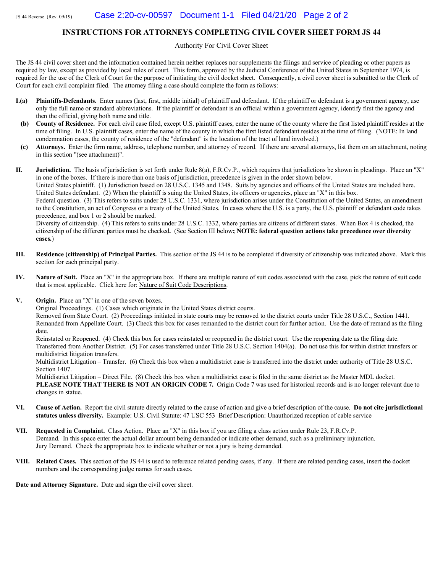### INSTRUCTIONS FOR ATTORNEYS COMPLETING CIVIL COVER SHEET FORM JS 44

Authority For Civil Cover Sheet

The JS 44 civil cover sheet and the information contained herein neither replaces nor supplements the filings and service of pleading or other papers as required by law, except as provided by local rules of court. This form, approved by the Judicial Conference of the United States in September 1974, is required for the use of the Clerk of Court for the purpose of initiating the civil docket sheet. Consequently, a civil cover sheet is submitted to the Clerk of Court for each civil complaint filed. The attorney filing a case should complete the form as follows:

- **I.(a)** Plaintiffs-Defendants. Enter names (last, first, middle initial) of plaintiff and defendant. If the plaintiff or defendant is a government agency, use only the full name or standard abbreviations. If the plaintiff or defendant is an official within a government agency, identify first the agency and then the official, giving both name and title.
- (b) County of Residence. For each civil case filed, except U.S. plaintiff cases, enter the name of the county where the first listed plaintiff resides at the time of filing. In U.S. plaintiff cases, enter the name of the county in which the first listed defendant resides at the time of filing. (NOTE: In land condemnation cases, the county of residence of the "defendant" is the location of the tract of land involved.)
- (c) Attorneys. Enter the firm name, address, telephone number, and attorney of record. If there are several attorneys, list them on an attachment, noting in this section "(see attachment)".

**II.** Jurisdiction. The basis of jurisdiction is set forth under Rule 8(a), F.R.Cv.P., which requires that jurisdictions be shown in pleadings. Place an "X" in one of the boxes. If there is more than one basis of jurisdiction, precedence is given in the order shown below.

United States plaintiff. (1) Jurisdiction based on 28 U.S.C. 1345 and 1348. Suits by agencies and officers of the United States are included here. United States defendant. (2) When the plaintiff is suing the United States, its officers or agencies, place an "X" in this box.

Federal question. (3) This refers to suits under 28 U.S.C. 1331, where jurisdiction arises under the Constitution of the United States, an amendment to the Constitution, an act of Congress or a treaty of the United States. In cases where the U.S. is a party, the U.S. plaintiff or defendant code takes precedence, and box 1 or 2 should be marked.

Diversity of citizenship. (4) This refers to suits under 28 U.S.C. 1332, where parties are citizens of different states. When Box 4 is checked, the citizenship of the different parties must be checked. (See Section III below; NOTE: federal question actions take precedence over diversity cases.)

- III. Residence (citizenship) of Principal Parties. This section of the JS 44 is to be completed if diversity of citizenship was indicated above. Mark this section for each principal party.
- IV. Nature of Suit. Place an "X" in the appropriate box. If there are multiple nature of suit codes associated with the case, pick the nature of suit code that is most applicable. Click here for: Nature of Suit Code Descriptions.
- V. Origin. Place an "X" in one of the seven boxes.

Original Proceedings. (1) Cases which originate in the United States district courts.

Removed from State Court. (2) Proceedings initiated in state courts may be removed to the district courts under Title 28 U.S.C., Section 1441. Remanded from Appellate Court. (3) Check this box for cases remanded to the district court for further action. Use the date of remand as the filing date.

Reinstated or Reopened. (4) Check this box for cases reinstated or reopened in the district court. Use the reopening date as the filing date. Transferred from Another District. (5) For cases transferred under Title 28 U.S.C. Section 1404(a). Do not use this for within district transfers or multidistrict litigation transfers.

Multidistrict Litigation – Transfer. (6) Check this box when a multidistrict case is transferred into the district under authority of Title 28 U.S.C. Section  $1407$ .

Multidistrict Litigation – Direct File. (8) Check this box when a multidistrict case is filed in the same district as the Master MDL docket. PLEASE NOTE THAT THERE IS NOT AN ORIGIN CODE 7. Origin Code 7 was used for historical records and is no longer relevant due to changes in statue.

- VI. Cause of Action. Report the civil statute directly related to the cause of action and give a brief description of the cause. Do not cite jurisdictional statutes unless diversity. Example: U.S. Civil Statute: 47 USC 553 Brief Description: Unauthorized reception of cable service
- VII. Requested in Complaint. Class Action. Place an "X" in this box if you are filing a class action under Rule 23, F.R.Cv.P. Demand. In this space enter the actual dollar amount being demanded or indicate other demand, such as a preliminary injunction. Jury Demand. Check the appropriate box to indicate whether or not a jury is being demanded.
- VIII. Related Cases. This section of the JS 44 is used to reference related pending cases, if any. If there are related pending cases, insert the docket numbers and the corresponding judge names for such cases.

Date and Attorney Signature. Date and sign the civil cover sheet.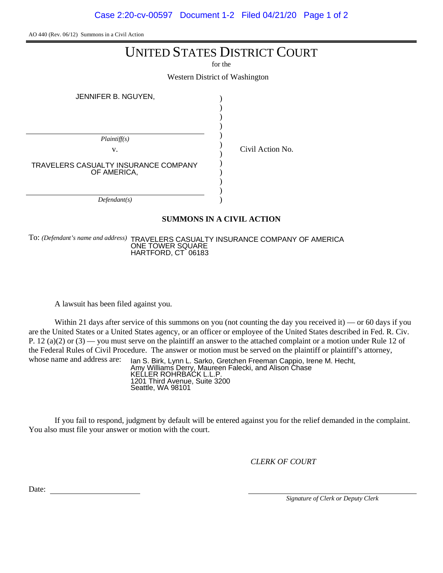Case 2:20-cv-00597 Document 1-2 Filed 04/21/20 Page 1 of 2

AO 440 (Rev. 06/12) Summons in a Civil Action

## UNITED STATES DISTRICT COURT

for the

Western District of Washington

)

Civil Action No.

JENNIFER B. NGUYEN,

| Plaintiff(s)                                        |  |
|-----------------------------------------------------|--|
| v.                                                  |  |
|                                                     |  |
| TRAVELERS CASUALTY INSURANCE COMPANY<br>OF AMERICA, |  |
|                                                     |  |
|                                                     |  |
| Defendant(s)                                        |  |

## **SUMMONS IN A CIVIL ACTION**

To: *(Defendant's name and address)* TRAVELERS CASUALTY INSURANCE COMPANY OF AMERICA ONE TOWER SQUARE HARTFORD, CT 06183

A lawsuit has been filed against you.

Within 21 days after service of this summons on you (not counting the day you received it) — or 60 days if you are the United States or a United States agency, or an officer or employee of the United States described in Fed. R. Civ. P. 12 (a)(2) or (3) — you must serve on the plaintiff an answer to the attached complaint or a motion under Rule 12 of the Federal Rules of Civil Procedure. The answer or motion must be served on the plaintiff or plaintiff's attorney, whose name and address are:

Ian S. Birk, Lynn L. Sarko, Gretchen Freeman Cappio, Irene M. Hecht, Amy Williams Derry, Maureen Falecki, and Alison Chase KELLER ROHRBACK L.L.P. 1201 Third Avenue, Suite 3200 Seattle, WA 98101

If you fail to respond, judgment by default will be entered against you for the relief demanded in the complaint. You also must file your answer or motion with the court.

*CLERK OF COURT*

Date:

*Signature of Clerk or Deputy Clerk*